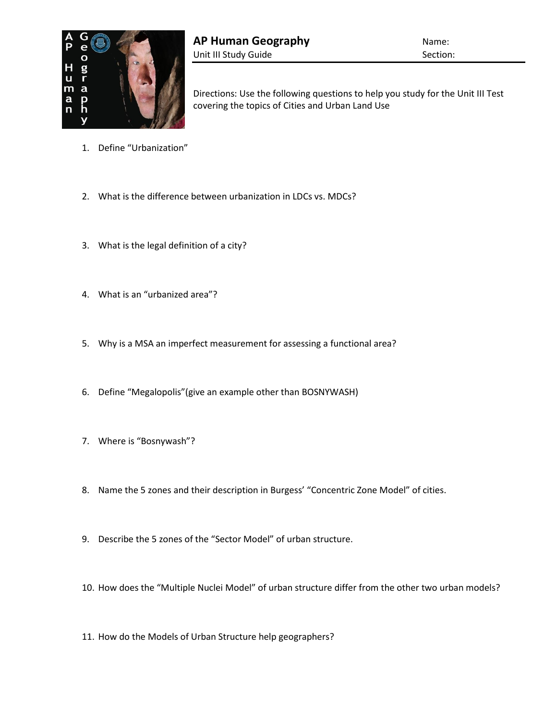

Directions: Use the following questions to help you study for the Unit III Test covering the topics of Cities and Urban Land Use

- 1. Define "Urbanization"
- 2. What is the difference between urbanization in LDCs vs. MDCs?
- 3. What is the legal definition of a city?
- 4. What is an "urbanized area"?
- 5. Why is a MSA an imperfect measurement for assessing a functional area?
- 6. Define "Megalopolis"(give an example other than BOSNYWASH)
- 7. Where is "Bosnywash"?
- 8. Name the 5 zones and their description in Burgess' "Concentric Zone Model" of cities.
- 9. Describe the 5 zones of the "Sector Model" of urban structure.
- 10. How does the "Multiple Nuclei Model" of urban structure differ from the other two urban models?
- 11. How do the Models of Urban Structure help geographers?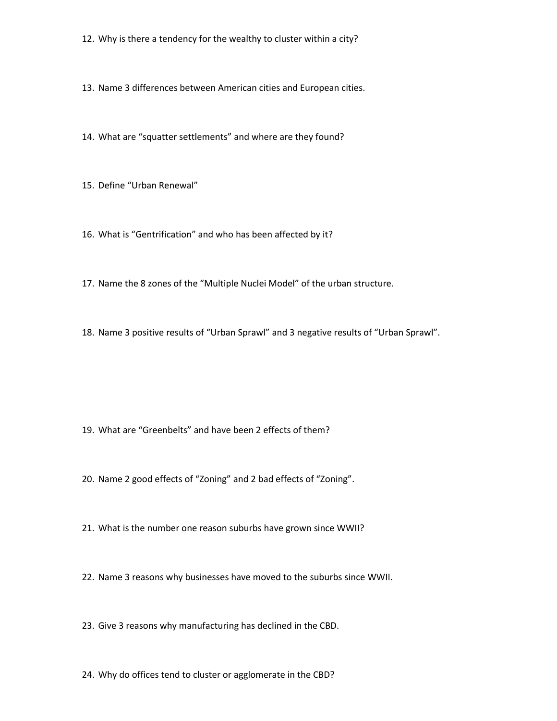- 12. Why is there a tendency for the wealthy to cluster within a city?
- 13. Name 3 differences between American cities and European cities.
- 14. What are "squatter settlements" and where are they found?
- 15. Define "Urban Renewal"
- 16. What is "Gentrification" and who has been affected by it?
- 17. Name the 8 zones of the "Multiple Nuclei Model" of the urban structure.
- 18. Name 3 positive results of "Urban Sprawl" and 3 negative results of "Urban Sprawl".

- 19. What are "Greenbelts" and have been 2 effects of them?
- 20. Name 2 good effects of "Zoning" and 2 bad effects of "Zoning".
- 21. What is the number one reason suburbs have grown since WWII?
- 22. Name 3 reasons why businesses have moved to the suburbs since WWII.
- 23. Give 3 reasons why manufacturing has declined in the CBD.
- 24. Why do offices tend to cluster or agglomerate in the CBD?